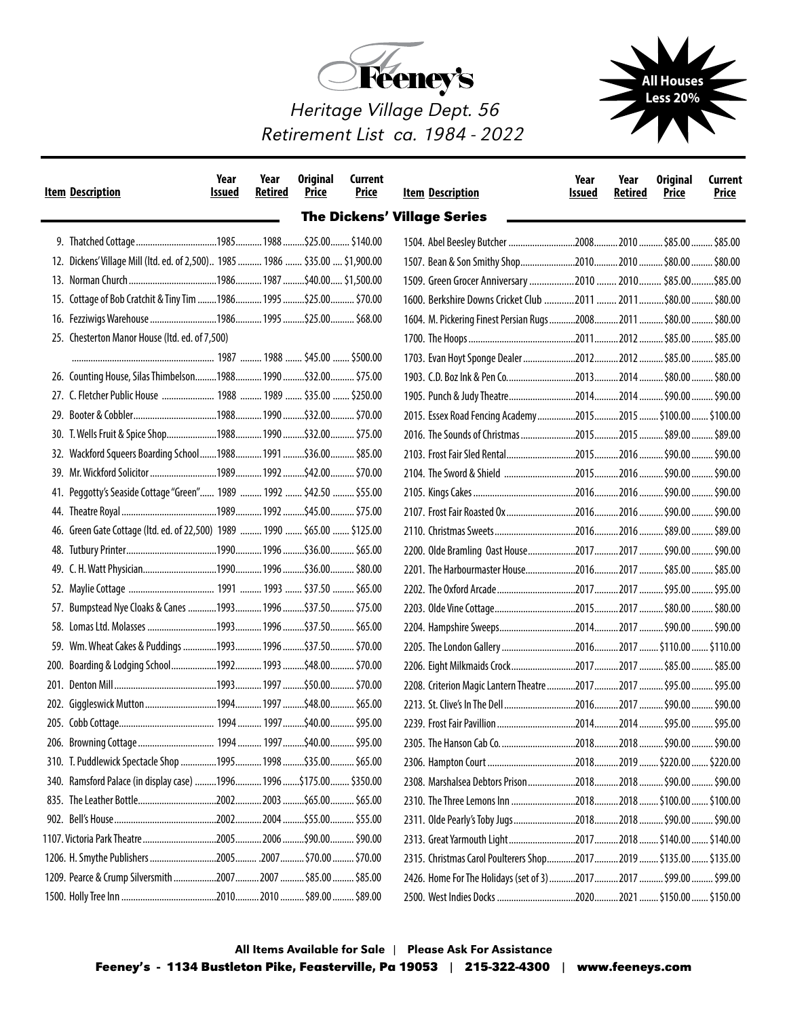



Heritage Village Dept. 56 Retirement List ca. 1984 - 2022

|      | <u>Item Description</u>                                                       | Year<br><b>Issued</b> | Year<br><b>Retired</b> | <b>Original</b><br><b>Price</b> | Current<br><b>Price</b> | <b>Item Description</b>            |                                                                     | Year<br><b>Issued</b> | Year<br><b>Retired</b> | <b>Original</b><br><b>Price</b> | Current<br>Price |
|------|-------------------------------------------------------------------------------|-----------------------|------------------------|---------------------------------|-------------------------|------------------------------------|---------------------------------------------------------------------|-----------------------|------------------------|---------------------------------|------------------|
|      |                                                                               |                       |                        |                                 |                         | <b>The Dickens' Village Series</b> |                                                                     |                       |                        |                                 |                  |
|      |                                                                               |                       |                        |                                 |                         |                                    |                                                                     |                       |                        |                                 |                  |
|      | 12. Dickens' Village Mill (Itd. ed. of 2,500) 1985  1986  \$35.00  \$1,900.00 |                       |                        |                                 |                         |                                    |                                                                     |                       |                        |                                 |                  |
|      |                                                                               |                       |                        |                                 |                         |                                    | 1509. Green Grocer Anniversary 2010  2010  \$85.00  \$85.00         |                       |                        |                                 |                  |
|      | 15. Cottage of Bob Cratchit & Tiny Tim  1986 1995  \$25.00 \$70.00            |                       |                        |                                 |                         |                                    |                                                                     |                       |                        |                                 |                  |
|      |                                                                               |                       |                        |                                 |                         |                                    | 1604. M. Pickering Finest Persian Rugs 2008  2011  \$80.00  \$80.00 |                       |                        |                                 |                  |
|      | 25. Chesterton Manor House (Itd. ed. of 7,500)                                |                       |                        |                                 |                         |                                    |                                                                     |                       |                        |                                 |                  |
|      |                                                                               |                       |                        |                                 |                         |                                    |                                                                     |                       |                        |                                 |                  |
|      | 26. Counting House, Silas Thimbelson1988 1990  \$32.00 \$75.00                |                       |                        |                                 |                         |                                    |                                                                     |                       |                        |                                 |                  |
|      | 27. C. Fletcher Public House  1988  1989  \$35.00  \$250.00                   |                       |                        |                                 |                         |                                    |                                                                     |                       |                        |                                 |                  |
|      |                                                                               |                       |                        |                                 |                         |                                    | 2015. Essex Road Fencing Academy 2015  2015  \$100.00  \$100.00     |                       |                        |                                 |                  |
|      | 30. T. Wells Fruit & Spice Shop1988 1990 \$32.00 \$75.00                      |                       |                        |                                 |                         |                                    | 2016. The Sounds of Christmas 2015 2015  \$89.00  \$89.00           |                       |                        |                                 |                  |
|      | 32. Wackford Squeers Boarding School  1988  1991  \$36.00  \$85.00            |                       |                        |                                 |                         |                                    |                                                                     |                       |                        |                                 |                  |
|      |                                                                               |                       |                        |                                 |                         |                                    |                                                                     |                       |                        |                                 |                  |
|      | Peggotty's Seaside Cottage "Green" 1989  1992  \$42.50  \$55.00               |                       |                        |                                 |                         |                                    |                                                                     |                       |                        |                                 |                  |
|      |                                                                               |                       |                        |                                 |                         |                                    |                                                                     |                       |                        |                                 |                  |
|      | 46. Green Gate Cottage (Itd. ed. of 22,500) 1989  1990  \$65.00  \$125.00     |                       |                        |                                 |                         |                                    |                                                                     |                       |                        |                                 |                  |
|      |                                                                               |                       |                        |                                 |                         |                                    | 2200. Olde Bramling Oast House20172017  \$90.00  \$90.00            |                       |                        |                                 |                  |
|      |                                                                               |                       |                        |                                 |                         |                                    | 2201. The Harbourmaster House2016 2017  \$85.00  \$85.00            |                       |                        |                                 |                  |
|      |                                                                               |                       |                        |                                 |                         |                                    |                                                                     |                       |                        |                                 |                  |
|      | 57. Bumpstead Nye Cloaks & Canes 1993 1996  \$37.50 \$75.00                   |                       |                        |                                 |                         |                                    |                                                                     |                       |                        |                                 |                  |
|      |                                                                               |                       |                        |                                 |                         |                                    |                                                                     |                       |                        |                                 |                  |
| 59.  | Wm. Wheat Cakes & Puddings 1993  1996  \$37.50  \$70.00                       |                       |                        |                                 |                         |                                    |                                                                     |                       |                        |                                 |                  |
| 200. | Boarding & Lodging School1992 1993 \$48.00 \$70.00                            |                       |                        |                                 |                         |                                    |                                                                     |                       |                        |                                 |                  |
| 201. |                                                                               |                       |                        |                                 |                         |                                    | 2208. Criterion Magic Lantern Theatre 2017  2017  \$95.00  \$95.00  |                       |                        |                                 |                  |
|      |                                                                               |                       |                        |                                 |                         |                                    |                                                                     |                       |                        |                                 |                  |
|      |                                                                               |                       |                        |                                 |                         |                                    |                                                                     |                       |                        |                                 |                  |
|      |                                                                               |                       |                        |                                 |                         |                                    | 2305. The Hanson Cab Co                                             |                       |                        | 20182018  \$90.00               | S90.00           |
|      | 310. T. Puddlewick Spectacle Shop 1995 1998  \$35.00  \$65.00                 |                       |                        |                                 |                         |                                    |                                                                     |                       |                        |                                 |                  |
|      | 340. Ramsford Palace (in display case) 1996 1996\$175.00 \$350.00             |                       |                        |                                 |                         |                                    | 2308. Marshalsea Debtors Prison 2018 2018  \$90.00  \$90.00         |                       |                        |                                 |                  |
|      |                                                                               |                       |                        |                                 |                         |                                    |                                                                     |                       |                        |                                 |                  |
|      |                                                                               |                       |                        |                                 |                         |                                    |                                                                     |                       |                        |                                 |                  |
|      |                                                                               |                       |                        |                                 |                         |                                    | 2313. Great Yarmouth Light 2017  2018  \$140.00  \$140.00           |                       |                        |                                 |                  |
|      |                                                                               |                       |                        |                                 |                         |                                    | 2315. Christmas Carol Poulterers Shop20172019  \$135.00  \$135.00   |                       |                        |                                 |                  |
|      |                                                                               |                       |                        |                                 |                         |                                    | 2426. Home For The Holidays (set of 3) 2017  2017  \$99.00  \$99.00 |                       |                        |                                 |                  |
|      |                                                                               |                       |                        |                                 |                         |                                    |                                                                     |                       |                        |                                 |                  |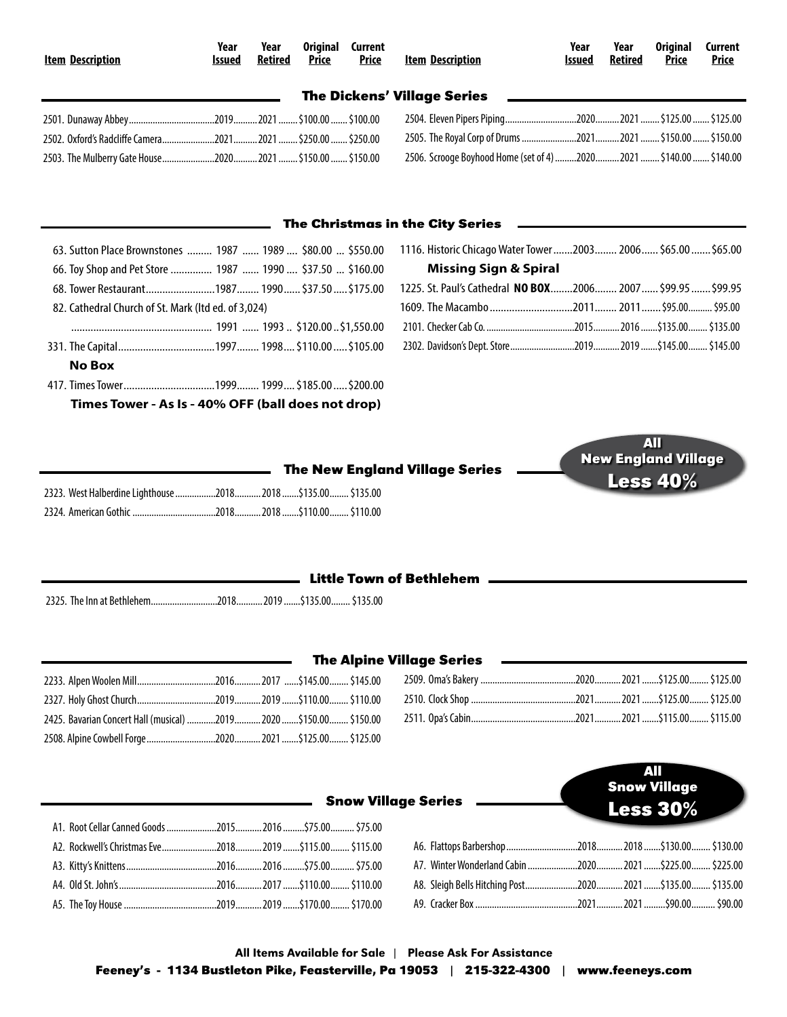| <b>Item Description</b>                                                                                                         | Year<br>Issued | Year<br><b>Retired</b> | <b>Original</b><br><b>Price</b> | Current<br><b>Price</b> | <b>Item Description</b>                                             | Year<br><b>Issued</b> | Year<br><b>Retired</b> | <b>Original</b><br><b>Price</b> | Current<br><b>Price</b> |  |
|---------------------------------------------------------------------------------------------------------------------------------|----------------|------------------------|---------------------------------|-------------------------|---------------------------------------------------------------------|-----------------------|------------------------|---------------------------------|-------------------------|--|
| <b>The Dickens' Village Series</b><br>the control of the control of the control of the control of the control of the control of |                |                        |                                 |                         |                                                                     |                       |                        |                                 |                         |  |
|                                                                                                                                 |                |                        |                                 |                         |                                                                     |                       |                        |                                 |                         |  |
| 2502. Oxford's Radcliffe Camera2021 2021  \$250.00  \$250.00                                                                    |                |                        |                                 |                         | 2505. The Royal Corp of Drums 2021 2021  \$150.00  \$150.00         |                       |                        |                                 |                         |  |
|                                                                                                                                 |                |                        |                                 |                         | 2506. Scrooge Boyhood Home (set of 4) 2020 2021  \$140.00  \$140.00 |                       |                        |                                 |                         |  |
|                                                                                                                                 |                |                        |                                 |                         |                                                                     |                       |                        |                                 |                         |  |

## **The Christmas in the City Series**

| 63. Sutton Place Brownstones  1987  1989  \$80.00  \$550.00 |
|-------------------------------------------------------------|
| 66. Toy Shop and Pet Store  1987  1990  \$37.50  \$160.00   |
| 68. Tower Restaurant1987 1990 \$37.50 \$175.00              |
| 82. Cathedral Church of St. Mark (Itd ed. of 3,024)         |
|                                                             |
|                                                             |
| No Box                                                      |
|                                                             |
| Times Tower - As Is - 40% OFF (ball does not drop)          |

| 1116. Historic Chicago Water Tower 2003 2006 \$65.00  \$65.00 |  |  |
|---------------------------------------------------------------|--|--|
| <b>Missing Sign &amp; Spiral</b>                              |  |  |
| 1225. St. Paul's Cathedral NO BOX2006 2007 \$99.95  \$99.95   |  |  |
|                                                               |  |  |
|                                                               |  |  |
|                                                               |  |  |

|                                                              |  | <b>The New England Village Series</b> |
|--------------------------------------------------------------|--|---------------------------------------|
| 2323. West Halberdine Lighthouse 2018 2018 \$135.00 \$135.00 |  |                                       |
|                                                              |  |                                       |



| <b>Little Town of Bethlehem</b> |  |
|---------------------------------|--|
|---------------------------------|--|

2325. The Inn at Bethlehem............................2018...........2019.......\$135.00........\$135.00

|                                                                   | the contract of the contract of the contract of the contract of the contract of |  | <b>The Alpine Village Series</b> |
|-------------------------------------------------------------------|---------------------------------------------------------------------------------|--|----------------------------------|
|                                                                   |                                                                                 |  | 2509. Oma's Bakery               |
|                                                                   |                                                                                 |  | 2510. Clock Shop                 |
| 2425. Bavarian Concert Hall (musical) 2019 2020 \$150.00 \$150.00 |                                                                                 |  | 2511. Opa's Cabin                |
|                                                                   |                                                                                 |  |                                  |

| .2510. Clock Shop ………………………………………2021…………2021………\$125.00……… \$125.00 |  |  |
|----------------------------------------------------------------------|--|--|
|                                                                      |  |  |

|                                                                            |  | All<br><b>Snow Village</b><br>Less $30\%$ |  |  |  |  |
|----------------------------------------------------------------------------|--|-------------------------------------------|--|--|--|--|
| A1. Root Cellar Canned Goods 20152016 \$75.00 \$75.00                      |  |                                           |  |  |  |  |
| .42.  Rockwell's Christmas Eve……………………2018…………2019 …….\$115.00……… \$115.00 |  |                                           |  |  |  |  |
| A3. Kitty's Knittens…………………………………2016…………2016……….\$75.00………. \$75.00       |  |                                           |  |  |  |  |
|                                                                            |  |                                           |  |  |  |  |
| A5. The Toy House …………………………………2019…………2019 …….\$170.00…… \$170.00         |  |                                           |  |  |  |  |